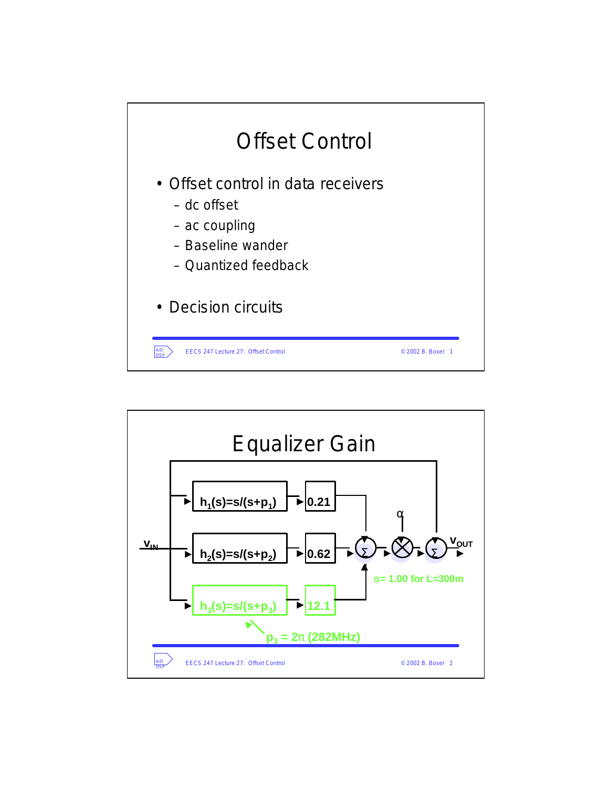

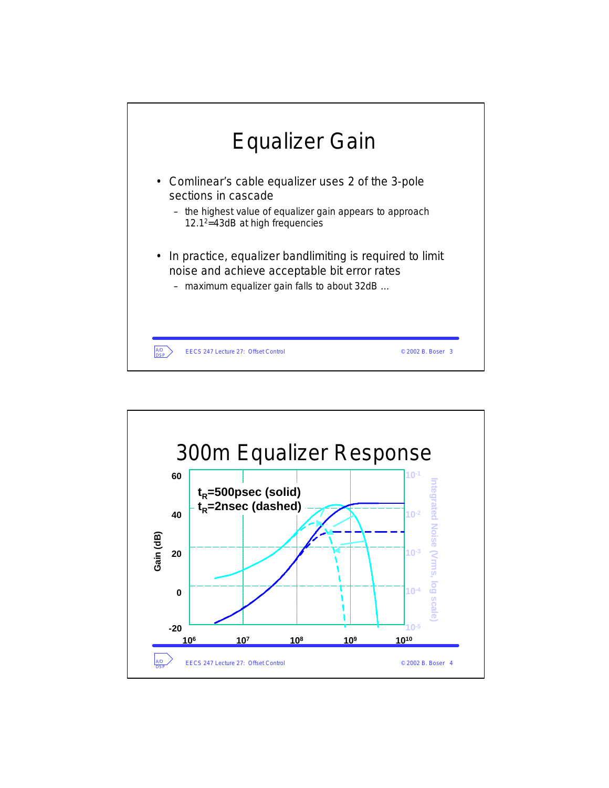

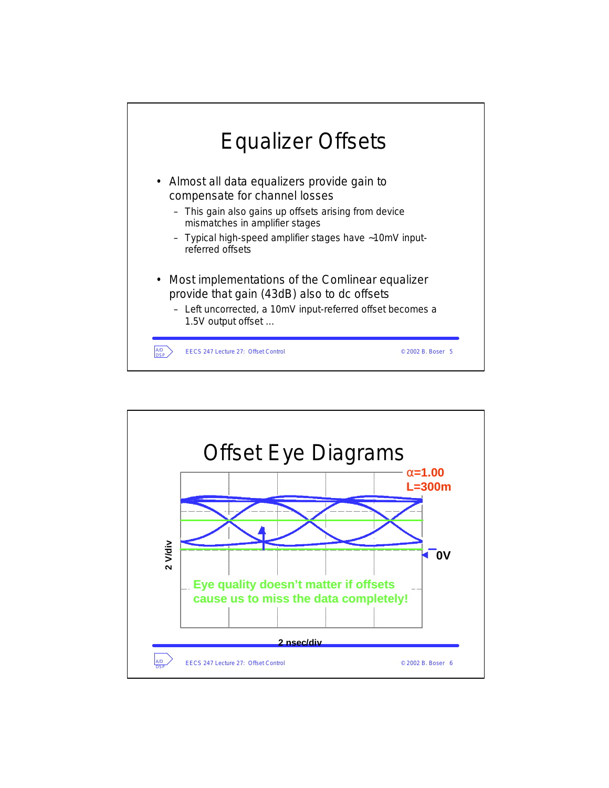

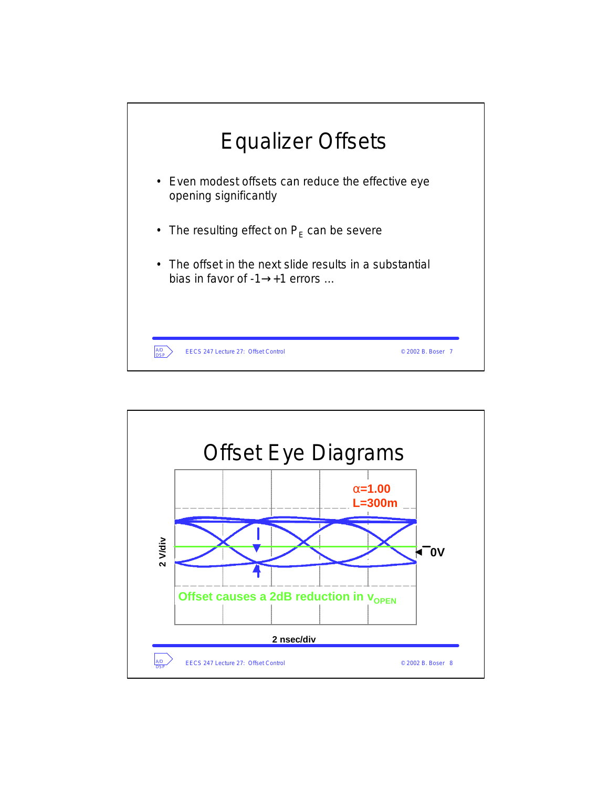

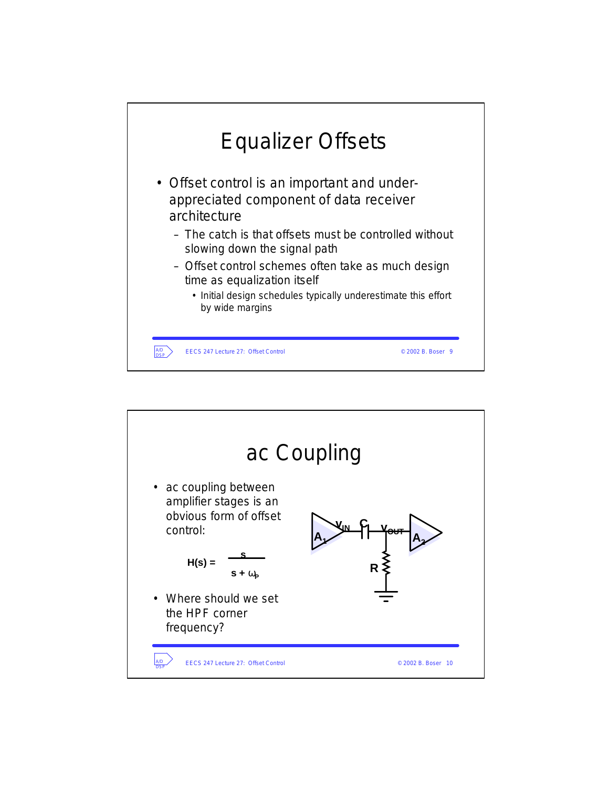

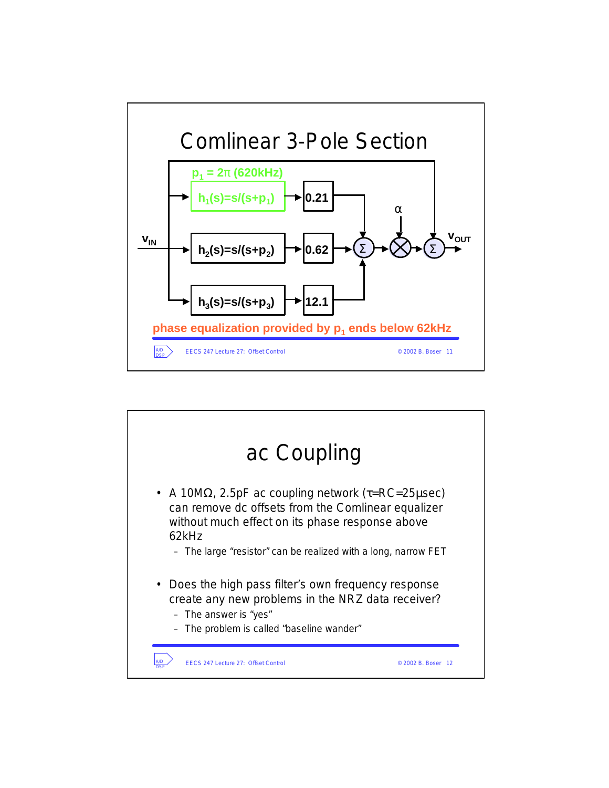

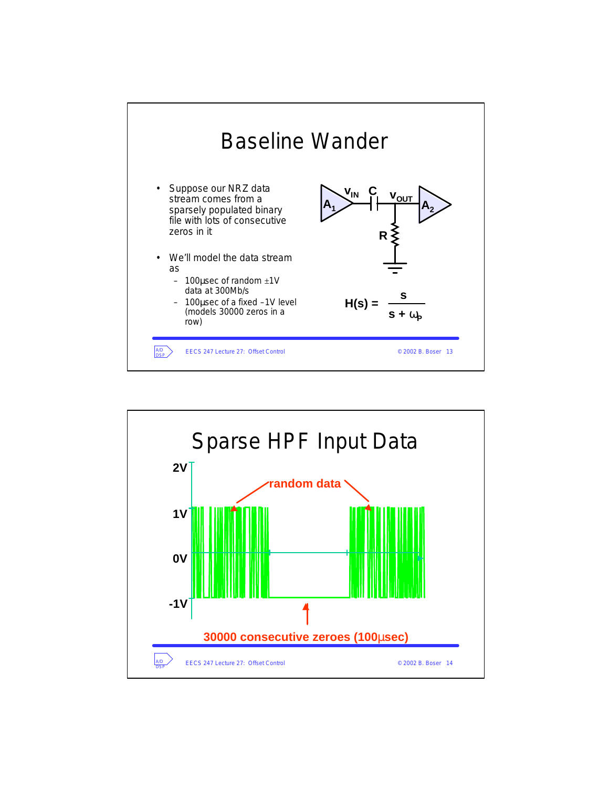![](_page_6_Figure_0.jpeg)

![](_page_6_Figure_1.jpeg)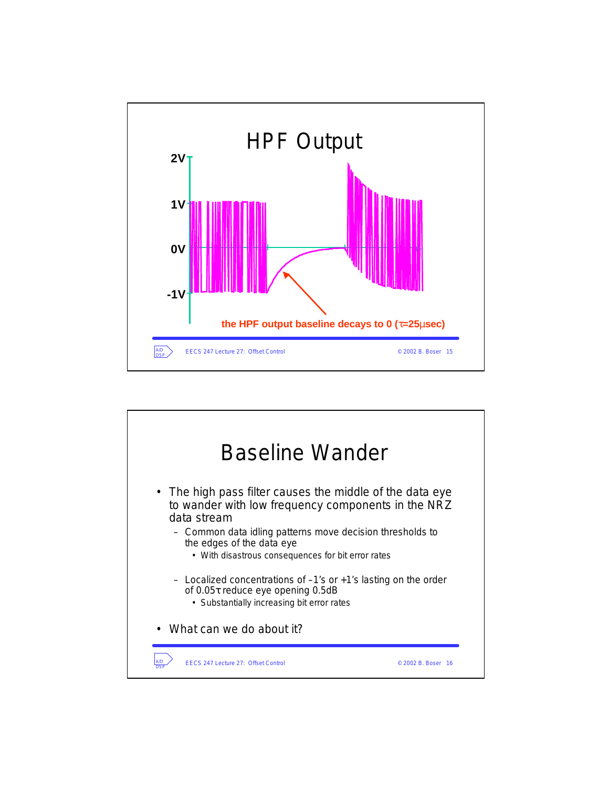![](_page_7_Figure_0.jpeg)

![](_page_7_Figure_1.jpeg)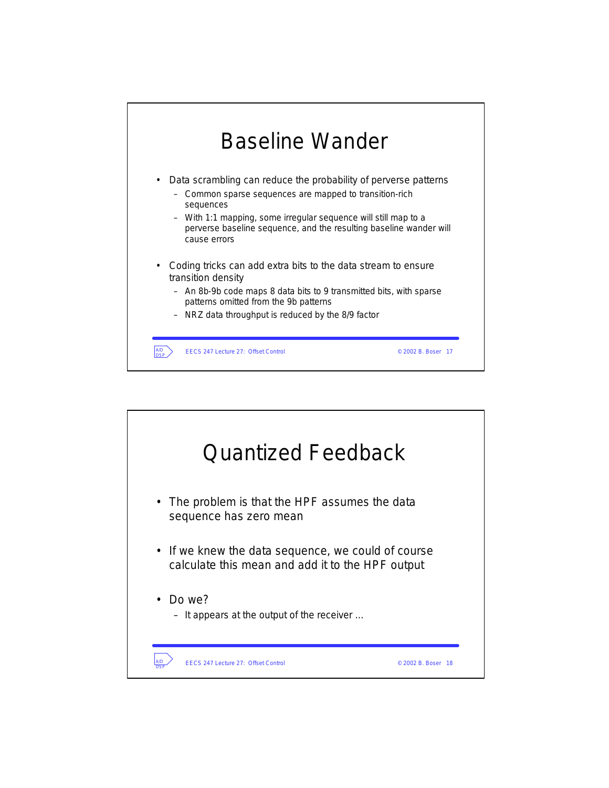![](_page_8_Figure_0.jpeg)

![](_page_8_Figure_1.jpeg)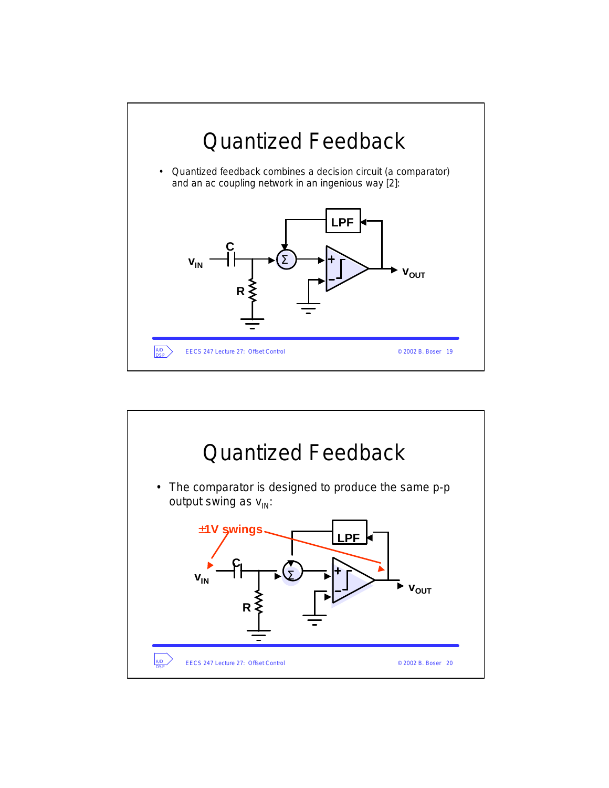![](_page_9_Figure_0.jpeg)

![](_page_9_Figure_1.jpeg)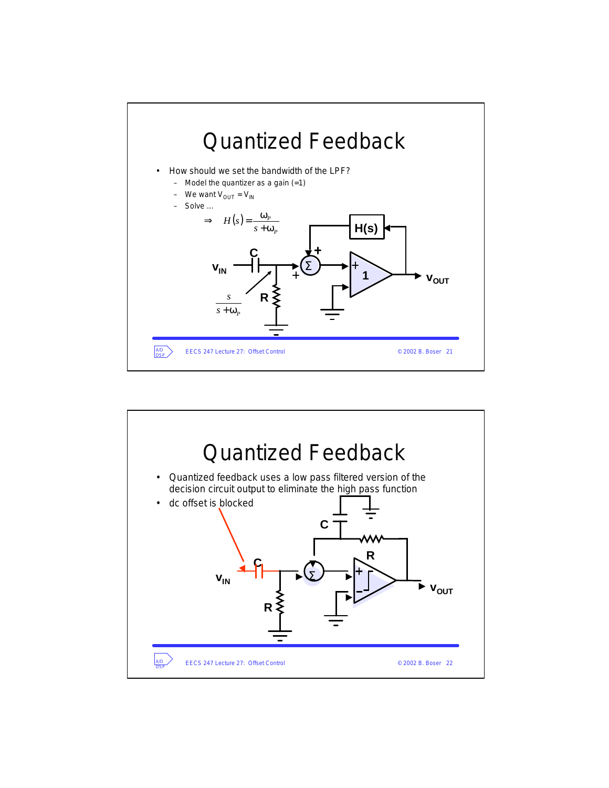![](_page_10_Figure_0.jpeg)

![](_page_10_Figure_1.jpeg)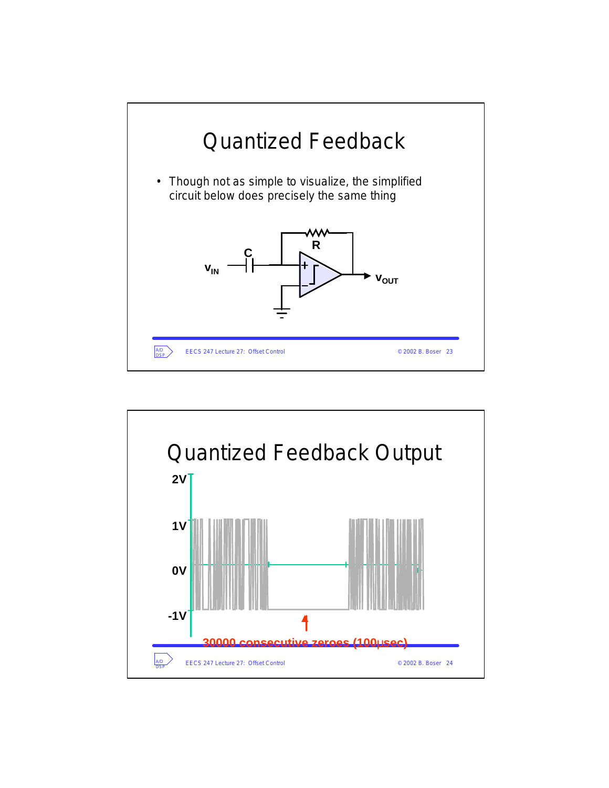![](_page_11_Figure_0.jpeg)

![](_page_11_Figure_1.jpeg)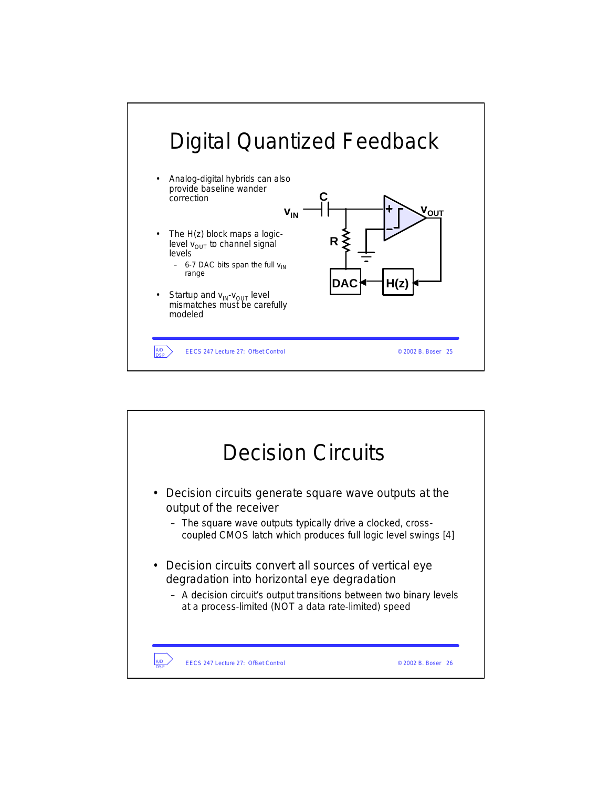![](_page_12_Figure_0.jpeg)

![](_page_12_Picture_1.jpeg)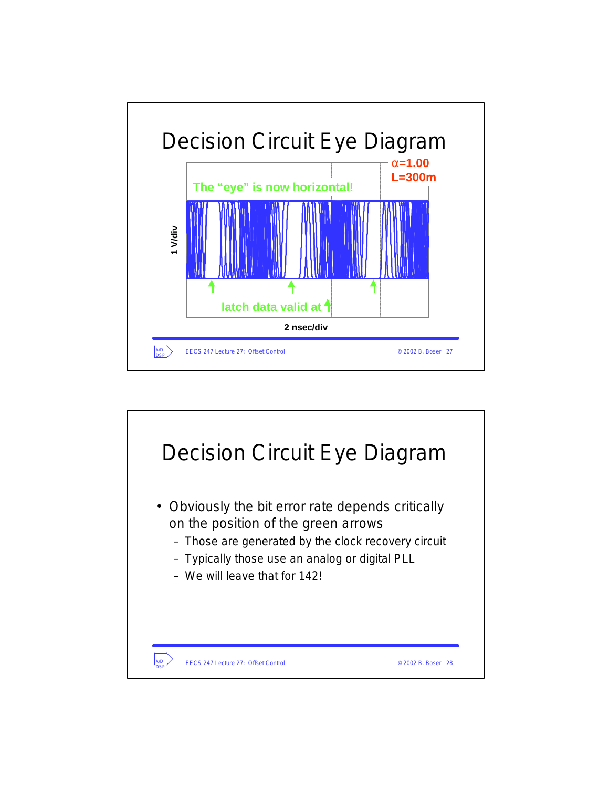![](_page_13_Figure_0.jpeg)

![](_page_13_Figure_1.jpeg)